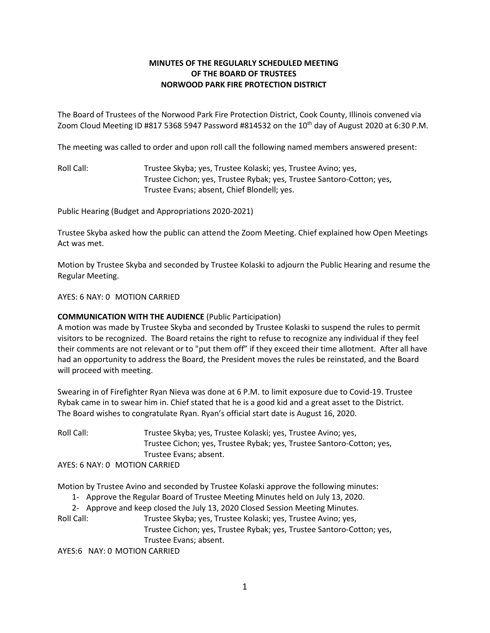## **MINUTES OF THE REGULARLY SCHEDULED MEETING OF THE BOARD OF TRUSTEES NORWOOD PARK FIRE PROTECTION DISTRICT**

The Board of Trustees of the Norwood Park Fire Protection District, Cook County, Illinois convened via Zoom Cloud Meeting ID #817 5368 5947 Password #814532 on the 10<sup>th</sup> day of August 2020 at 6:30 P.M.

The meeting was called to order and upon roll call the following named members answered present:

Roll Call: Trustee Skyba; yes, Trustee Kolaski; yes, Trustee Avino; yes, Trustee Cichon; yes, Trustee Rybak; yes, Trustee Santoro-Cotton; yes, Trustee Evans; absent, Chief Blondell; yes.

Public Hearing (Budget and Appropriations 2020-2021)

Trustee Skyba asked how the public can attend the Zoom Meeting. Chief explained how Open Meetings Act was met.

Motion by Trustee Skyba and seconded by Trustee Kolaski to adjourn the Public Hearing and resume the Regular Meeting.

AYES: 6 NAY: 0 MOTION CARRIED

## **COMMUNICATION WITH THE AUDIENCE** (Public Participation)

A motion was made by Trustee Skyba and seconded by Trustee Kolaski to suspend the rules to permit visitors to be recognized. The Board retains the right to refuse to recognize any individual if they feel their comments are not relevant or to "put them off" if they exceed their time allotment. After all have had an opportunity to address the Board, the President moves the rules be reinstated, and the Board will proceed with meeting.

Swearing in of Firefighter Ryan Nieva was done at 6 P.M. to limit exposure due to Covid-19. Trustee Rybak came in to swear him in. Chief stated that he is a good kid and a great asset to the District. The Board wishes to congratulate Ryan. Ryan's official start date is August 16, 2020.

Roll Call: Trustee Skyba; yes, Trustee Kolaski; yes, Trustee Avino; yes, Trustee Cichon; yes, Trustee Rybak; yes, Trustee Santoro-Cotton; yes, Trustee Evans; absent. AYES: 6 NAY: 0 MOTION CARRIED

Motion by Trustee Avino and seconded by Trustee Kolaski approve the following minutes:

- 1- Approve the Regular Board of Trustee Meeting Minutes held on July 13, 2020.
- 2- Approve and keep closed the July 13, 2020 Closed Session Meeting Minutes.

Roll Call: Trustee Skyba; yes, Trustee Kolaski; yes, Trustee Avino; yes,

Trustee Cichon; yes, Trustee Rybak; yes, Trustee Santoro-Cotton; yes, Trustee Evans; absent.

AYES:6 NAY: 0 MOTION CARRIED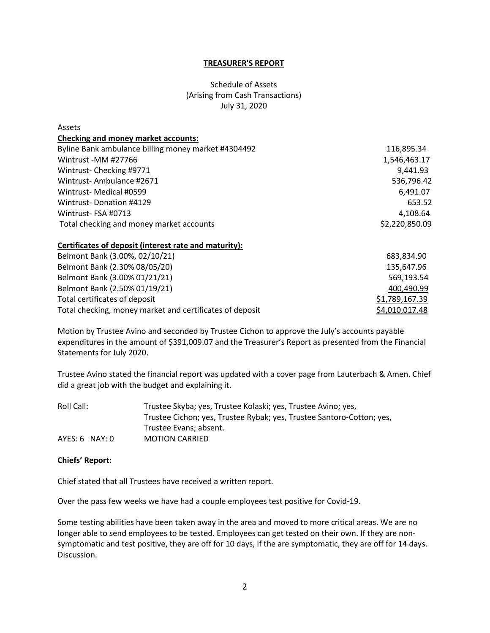### **TREASURER'S REPORT**

# Schedule of Assets (Arising from Cash Transactions) July 31, 2020

| Assets                                              |                |
|-----------------------------------------------------|----------------|
| <b>Checking and money market accounts:</b>          |                |
| Byline Bank ambulance billing money market #4304492 | 116,895.34     |
| Wintrust - MM #27766                                | 1,546,463.17   |
| Wintrust-Checking #9771                             | 9,441.93       |
| Wintrust-Ambulance #2671                            | 536,796.42     |
| Wintrust- Medical #0599                             | 6,491.07       |
| <b>Wintrust-Donation #4129</b>                      | 653.52         |
| Wintrust-FSA #0713                                  | 4,108.64       |
| Total checking and money market accounts            | \$2,220,850.09 |

#### **Certificates of deposit (interest rate and maturity):**

| Belmont Bank (3.00%, 02/10/21)                           | 683.834.90     |
|----------------------------------------------------------|----------------|
| Belmont Bank (2.30% 08/05/20)                            | 135,647.96     |
| Belmont Bank (3.00% 01/21/21)                            | 569,193.54     |
| Belmont Bank (2.50% 01/19/21)                            | 400,490.99     |
| Total certificates of deposit                            | \$1,789,167.39 |
| Total checking, money market and certificates of deposit | \$4,010,017.48 |

Motion by Trustee Avino and seconded by Trustee Cichon to approve the July's accounts payable expenditures in the amount of \$391,009.07 and the Treasurer's Report as presented from the Financial Statements for July 2020.

Trustee Avino stated the financial report was updated with a cover page from Lauterbach & Amen. Chief did a great job with the budget and explaining it.

| Roll Call:             | Trustee Skyba; yes, Trustee Kolaski; yes, Trustee Avino; yes,         |
|------------------------|-----------------------------------------------------------------------|
|                        | Trustee Cichon; yes, Trustee Rybak; yes, Trustee Santoro-Cotton; yes, |
| Trustee Evans: absent. |                                                                       |
| $AYES: 6$ NAY: 0       | <b>MOTION CARRIED</b>                                                 |

#### **Chiefs' Report:**

Chief stated that all Trustees have received a written report.

Over the pass few weeks we have had a couple employees test positive for Covid-19.

Some testing abilities have been taken away in the area and moved to more critical areas. We are no longer able to send employees to be tested. Employees can get tested on their own. If they are nonsymptomatic and test positive, they are off for 10 days, if the are symptomatic, they are off for 14 days. Discussion.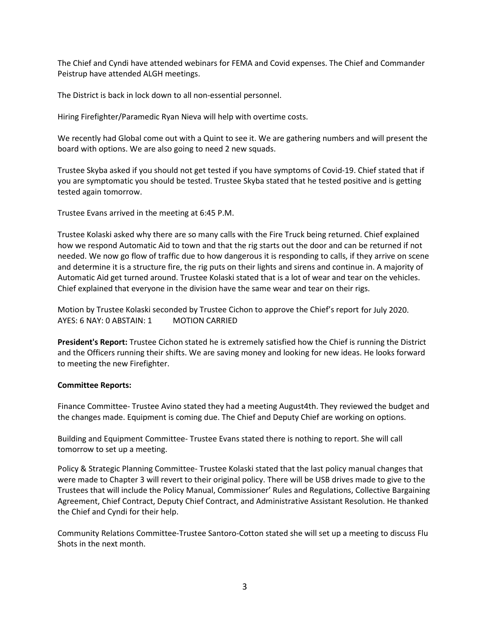The Chief and Cyndi have attended webinars for FEMA and Covid expenses. The Chief and Commander Peistrup have attended ALGH meetings.

The District is back in lock down to all non-essential personnel.

Hiring Firefighter/Paramedic Ryan Nieva will help with overtime costs.

We recently had Global come out with a Quint to see it. We are gathering numbers and will present the board with options. We are also going to need 2 new squads.

Trustee Skyba asked if you should not get tested if you have symptoms of Covid-19. Chief stated that if you are symptomatic you should be tested. Trustee Skyba stated that he tested positive and is getting tested again tomorrow.

Trustee Evans arrived in the meeting at 6:45 P.M.

Trustee Kolaski asked why there are so many calls with the Fire Truck being returned. Chief explained how we respond Automatic Aid to town and that the rig starts out the door and can be returned if not needed. We now go flow of traffic due to how dangerous it is responding to calls, if they arrive on scene and determine it is a structure fire, the rig puts on their lights and sirens and continue in. A majority of Automatic Aid get turned around. Trustee Kolaski stated that is a lot of wear and tear on the vehicles. Chief explained that everyone in the division have the same wear and tear on their rigs.

Motion by Trustee Kolaski seconded by Trustee Cichon to approve the Chief's report for July 2020. AYES: 6 NAY: 0 ABSTAIN: 1 MOTION CARRIED

**President's Report:** Trustee Cichon stated he is extremely satisfied how the Chief is running the District and the Officers running their shifts. We are saving money and looking for new ideas. He looks forward to meeting the new Firefighter.

## **Committee Reports:**

Finance Committee- Trustee Avino stated they had a meeting August4th. They reviewed the budget and the changes made. Equipment is coming due. The Chief and Deputy Chief are working on options.

Building and Equipment Committee- Trustee Evans stated there is nothing to report. She will call tomorrow to set up a meeting.

Policy & Strategic Planning Committee- Trustee Kolaski stated that the last policy manual changes that were made to Chapter 3 will revert to their original policy. There will be USB drives made to give to the Trustees that will include the Policy Manual, Commissioner' Rules and Regulations, Collective Bargaining Agreement, Chief Contract, Deputy Chief Contract, and Administrative Assistant Resolution. He thanked the Chief and Cyndi for their help.

Community Relations Committee-Trustee Santoro-Cotton stated she will set up a meeting to discuss Flu Shots in the next month.